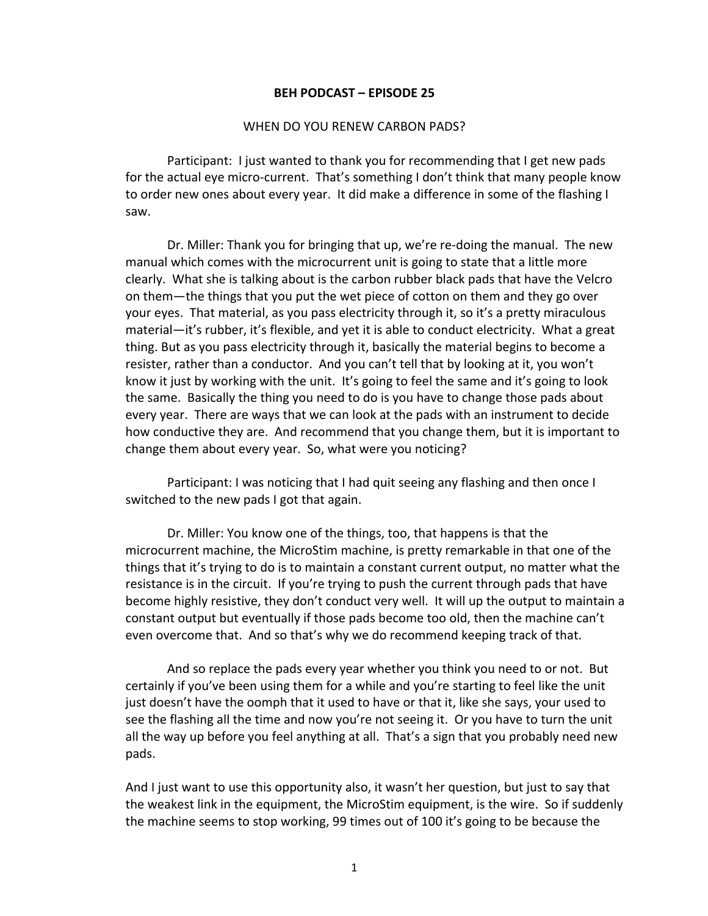## **BEH PODCAST – EPISODE 25**

## WHEN DO YOU RENEW CARBON PADS?

Participant: I just wanted to thank you for recommending that I get new pads for the actual eye micro-current. That's something I don't think that many people know to order new ones about every year. It did make a difference in some of the flashing I saw.

Dr. Miller: Thank you for bringing that up, we're re-doing the manual. The new manual which comes with the microcurrent unit is going to state that a little more clearly. What she is talking about is the carbon rubber black pads that have the Velcro on them—the things that you put the wet piece of cotton on them and they go over your eyes. That material, as you pass electricity through it, so it's a pretty miraculous material—it's rubber, it's flexible, and yet it is able to conduct electricity. What a great thing. But as you pass electricity through it, basically the material begins to become a resister, rather than a conductor. And you can't tell that by looking at it, you won't know it just by working with the unit. It's going to feel the same and it's going to look the same. Basically the thing you need to do is you have to change those pads about every year. There are ways that we can look at the pads with an instrument to decide how conductive they are. And recommend that you change them, but it is important to change them about every year. So, what were you noticing?

Participant: I was noticing that I had quit seeing any flashing and then once I switched to the new pads I got that again.

Dr. Miller: You know one of the things, too, that happens is that the microcurrent machine, the MicroStim machine, is pretty remarkable in that one of the things that it's trying to do is to maintain a constant current output, no matter what the resistance is in the circuit. If you're trying to push the current through pads that have become highly resistive, they don't conduct very well. It will up the output to maintain a constant output but eventually if those pads become too old, then the machine can't even overcome that. And so that's why we do recommend keeping track of that.

And so replace the pads every year whether you think you need to or not. But certainly if you've been using them for a while and you're starting to feel like the unit just doesn't have the oomph that it used to have or that it, like she says, your used to see the flashing all the time and now you're not seeing it. Or you have to turn the unit all the way up before you feel anything at all. That's a sign that you probably need new pads.

And I just want to use this opportunity also, it wasn't her question, but just to say that the weakest link in the equipment, the MicroStim equipment, is the wire. So if suddenly the machine seems to stop working, 99 times out of 100 it's going to be because the